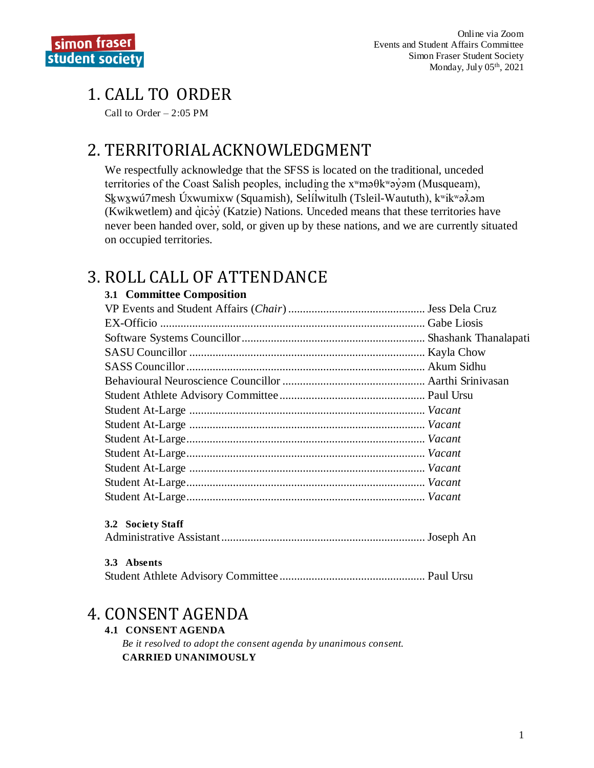# **1. CALL TO ORDER**

Call to Order  $-2:05$  PM

## 2. TERRITORIAL ACKNOWLEDGMENT

We respectfully acknowledge that the SFSS is located on the traditional, unceded territories of the Coast Salish peoples, including the  $x^w$ ma $\theta k^w$ ayom (Musqueam), Skwxwu7mesh Úxwumixw (Squamish), Selilwitulh (Tsleil-Waututh), kwikwa $\lambda$ om (Kwikwetlem) and qicay (Katzie) Nations. Unceded means that these territories have never been handed over, sold, or given up by these nations, and we are currently situated on occupied territories.

## 3. ROLL CALL OF ATTENDANCE

### 3.1 Committee Composition

| 3.2 Society Staff |  |
|-------------------|--|
|                   |  |
| 3.3 Absents       |  |
|                   |  |

## 4. CONSENT AGENDA

### **4.1 CONSENT AGENDA**

Be it resolved to adopt the consent agenda by unanimous consent. **CARRIED UNANIMOUSLY**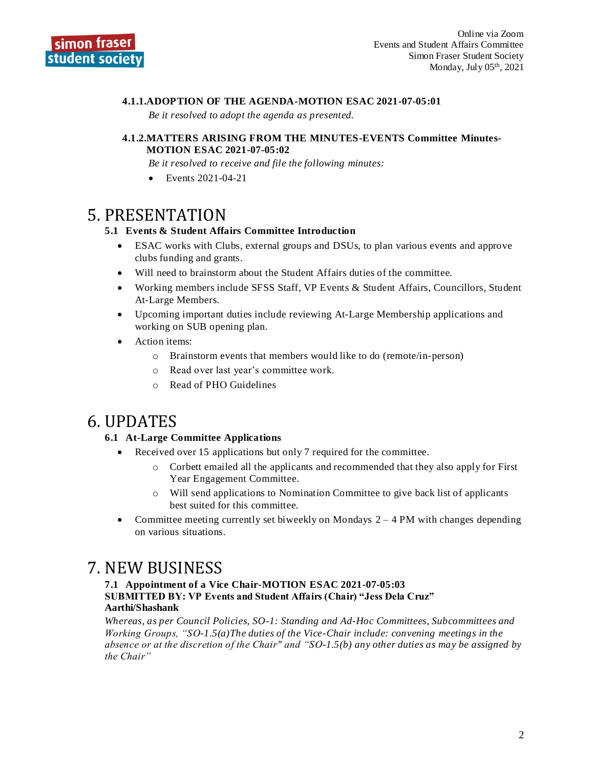### **4.1.1.ADOPTION OF THE AGENDA-MOTION ESAC 2021-07-05:01**

*Be it resolved to adopt the agenda as presented.*

#### **4.1.2.MATTERS ARISING FROM THE MINUTES-EVENTS Committee Minutes-MOTION ESAC 2021-07-05:02**

*Be it resolved to receive and file the following minutes:*

• Events 2021-04-21

### 5. PRESENTATION

### **5.1 Events & Student Affairs Committee Introduction**

- ESAC works with Clubs, external groups and DSUs, to plan various events and approve clubs funding and grants.
- Will need to brainstorm about the Student Affairs duties of the committee.
- Working members include SFSS Staff, VP Events & Student Affairs, Councillors, Student At-Large Members.
- Upcoming important duties include reviewing At-Large Membership applications and working on SUB opening plan.
- Action items:
	- o Brainstorm events that members would like to do (remote/in-person)
	- o Read over last year's committee work.
	- o Read of PHO Guidelines

### 6. UPDATES

### **6.1 At-Large Committee Applications**

- Received over 15 applications but only 7 required for the committee.
	- $\circ$  Corbett emailed all the applicants and recommended that they also apply for First Year Engagement Committee.
	- o Will send applications to Nomination Committee to give back list of applicants best suited for this committee.
- Committee meeting currently set biweekly on Mondays 2 4 PM with changes depending on various situations.

## 7. NEW BUSINESS

#### **7.1 Appointment of a Vice Chair-MOTION ESAC 2021-07-05:03 SUBMITTED BY: VP Events and Student Affairs (Chair) "Jess Dela Cruz" Aarthi/Shashank**

*Whereas, as per Council Policies, SO-1: Standing and Ad-Hoc Committees, Subcommittees and Working Groups, "SO-1.5(a)The duties of the Vice-Chair include: convening meetings in the absence or at the discretion of the Chair" and "SO-1.5(b) any other duties as may be assigned by the Chair"*